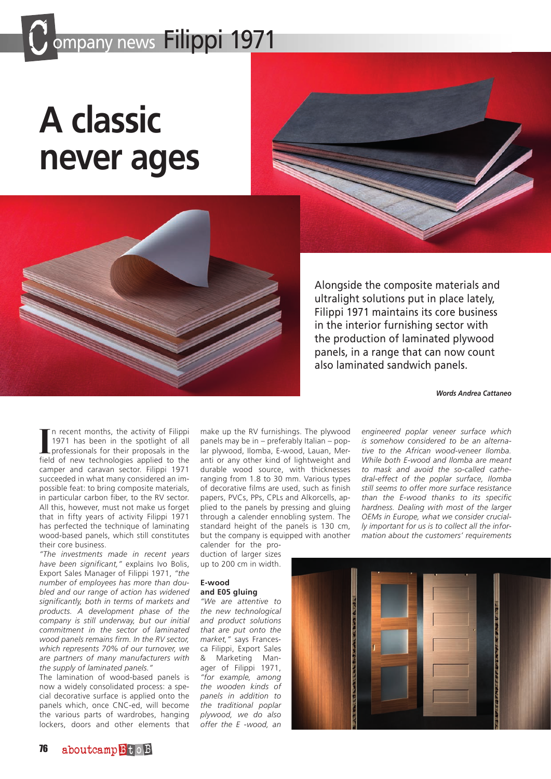## ompany news Filippi 1971

# **A classic never ages**



Alongside the composite materials and ultralight solutions put in place lately, Filippi 1971 maintains its core business in the interior furnishing sector with the production of laminated plywood panels, in a range that can now count also laminated sandwich panels.

*Words Andrea Cattaneo*

In recent months, the activity of Filippi 1971 has been in the spotlight of all professionals for their proposals in the field of new technologies applied to the n recent months, the activity of Filippi 1971 has been in the spotlight of all professionals for their proposals in the camper and caravan sector. Filippi 1971 succeeded in what many considered an impossible feat: to bring composite materials, in particular carbon fiber, to the RV sector. All this, however, must not make us forget that in fifty years of activity Filippi 1971 has perfected the technique of laminating wood-based panels, which still constitutes their core business.

*"The investments made in recent years have been significant,"* explains Ivo Bolis, Export Sales Manager of Filippi 1971, *"the number of employees has more than doubled and our range of action has widened significantly, both in terms of markets and products. A development phase of the company is still underway, but our initial commitment in the sector of laminated wood panels remains firm. In the RV sector, which represents 70% of our turnover, we are partners of many manufacturers with the supply of laminated panels."*

The lamination of wood-based panels is now a widely consolidated process: a special decorative surface is applied onto the panels which, once CNC-ed, will become the various parts of wardrobes, hanging lockers, doors and other elements that make up the RV furnishings. The plywood panels may be in – preferably Italian – poplar plywood, Ilomba, E-wood, Lauan, Meranti or any other kind of lightweight and durable wood source, with thicknesses ranging from 1.8 to 30 mm. Various types of decorative films are used, such as finish papers, PVCs, PPs, CPLs and Alkorcells, applied to the panels by pressing and gluing through a calender ennobling system. The standard height of the panels is 130 cm, but the company is equipped with another calender for the pro-

duction of larger sizes up to 200 cm in width.

### **E-wood and E05 gluing**

*"We are attentive to the new technological and product solutions that are put onto the market,"* says Francesca Filippi, Export Sales & Marketing Manager of Filippi 1971, *"for example, among the wooden kinds of panels in addition to the traditional poplar plywood, we do also offer the E -wood, an* 

*engineered poplar veneer surface which is somehow considered to be an alternative to the African wood-veneer Ilomba. While both E-wood and Ilomba are meant to mask and avoid the so-called cathedral-effect of the poplar surface, Ilomba still seems to offer more surface resistance than the E-wood thanks to its specific hardness. Dealing with most of the larger OEMs in Europe, what we consider crucially important for us is to collect all the information about the customers' requirements*